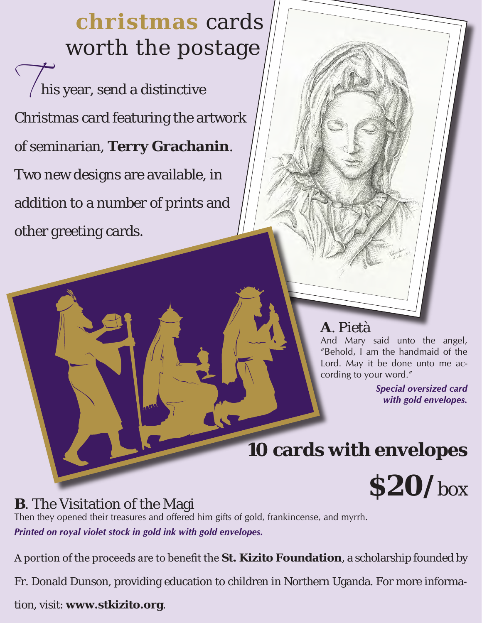**christmas** cards worth the postage

 $\sqrt{\ }$ his year, send a distinctive Christmas card featuring the artwork of seminarian, **Terry Grachanin**. Two new designs are available, in addition to a number of prints and other greeting cards.

# **A**. Pietà

And Mary said unto the angel, "Behold, I am the handmaid of the Lord. May it be done unto me according to your word."

> *Special oversized card with gold envelopes.*

# **10 cards with envelopes**



# **B**. The Visitation of the Magi

Then they opened their treasures and offered him gifts of gold, frankincense, and myrrh. *Printed on royal violet stock in gold ink with gold envelopes.*

A portion of the proceeds are to benefit the **St. Kizito Foundation**, a scholarship founded by

Fr. Donald Dunson, providing education to children in Northern Uganda. For more informa-

tion, visit: **www.stkizito.org**.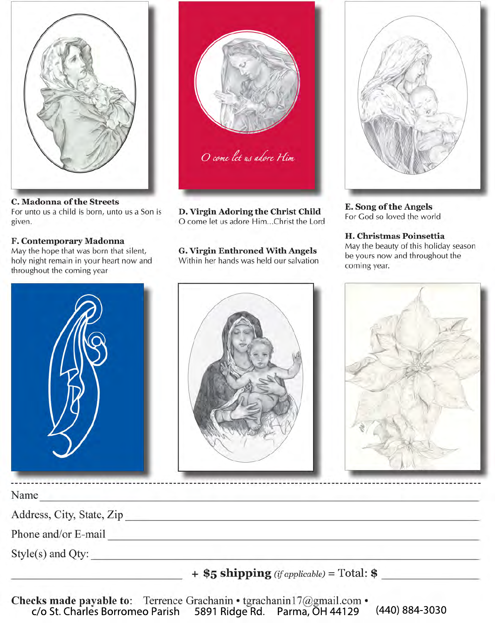C. Madonna of the Streets For unto us a child is born, unto us a Son is given.

## F. Contemporary Madonna

May the hope that was born that silent, holy night remain in your heart now and throughout the coming year





D. Virgin Adoring the Christ Child O come let us adore Him...Christ the Lord

**G. Virgin Enthroned With Angels** Within her hands was held our salvation



**E. Song of the Angels** For God so loved the world

H. Christmas Poinsettia May the beauty of this holiday season be yours now and throughout the coming year.



Name

Address, City, State, Zip

Phone and/or E-mail example and a series of the series of the series of the series of the series of the series of the series of the series of the series of the series of the series of the series of the series of the series

 $+$  \$5 shipping (if applicable) = Total: \$

Checks made payable to: Terrence Grachanin • tgrachanin17@gmail.com • c/o St. Charles Borromeo Parish 5891 Ridge Rd. Parma, OH 44129 (440) 884-3030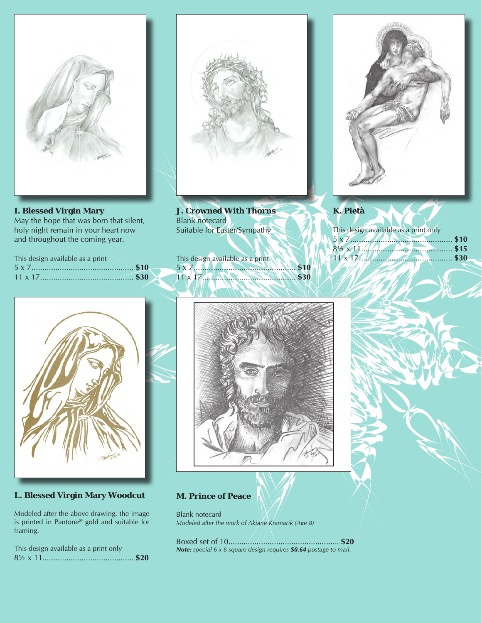

## **I. Blessed Virgin Mary**

May the hope that was born that silent, holy night remain in your heart now and throughout the coming year.

| This design available as a print |  |
|----------------------------------|--|
|                                  |  |
|                                  |  |



**J. Crowned With Thorns** Blank notecard Suitable for Easter/Sympathy

This design available as a print 5 x 7............................................... **\$10** 11 x 17........................................... **\$30**



# **K. Pietà**

This design available as a print only 5 x 7............................................... **\$10** 8½ x 11.......................................... **\$15** 11 x 17........................................... **\$30**



# **L. Blessed Virgin Mary Woodcut**

Modeled after the above drawing, the image is printed in Pantone® gold and suitable for framing.

|  | This design available as a print only |  |
|--|---------------------------------------|--|
|  |                                       |  |



### **M. Prince of Peace**

Blank notecard *Modeled after the work of Akiane Kramarik (Age 8)*

Boxed set of 10................................................... **\$20** *Note: special 6 x 6 square design requires \$0.64 postage to mail.*